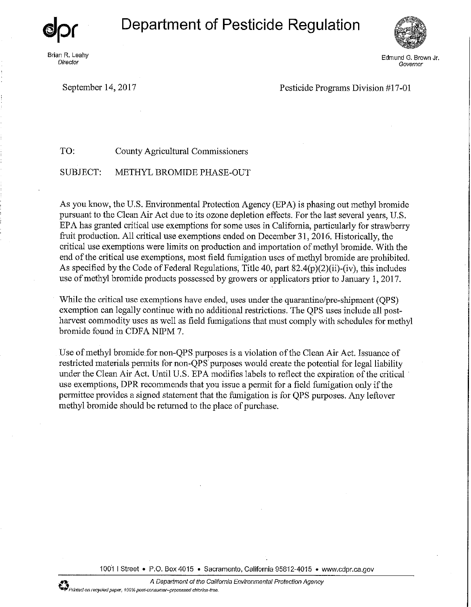**Department of Pesticide Regulation** 





**Brian R. Leahy Edmund G. Brown Jr. Brian R. Leahy** Edmund G. Brown Jr. **Constant Constant Constant Constant Constant Constant Constant Constant Constant Constant Constant Constant Constant Constant Constant Constant Con Director Governor** 

September 14, 2017 Pesticide Programs Division #17-01

TO: County Agricultural Commissioners

## SUBJECT: METHYL BROMIDE PHASE-OUT

As you know, the U.S. Environmental Protection Agency (EPA) is phasing out methyl bromide pursuant to the Clean Air Act due to its ozone depletion effects. For the last several years, U.S. EPA has granted critical use exemptions for some uses in California, particularly for strawberry fruit production. All critical use exemptions ended on December 31, 2016. Historically, the critical use exemptions were limits on production and importation of methyl bromide. With the end of the critical use exemptions, most field fumigation uses of methyl bromide are prohibited. As specified by the Code of Federal Regulations, Title 40, part  $82.4(p)(2)(ii)$ -(iv), this includes use of methyl bromide products possessed by growers or applicators prior to January 1, 2017.

Wbile the critical use exemptions have ended, uses under the quarantine/pre-shipment (QPS) exemption can legally continue with no additional restrictions. The QPS uses include all postharvest commodity uses as well as field fumigations that must comply with schedules for methyl bromide found in CDFA NIPM 7.

Use of methyl bromide for non-QPS purposes is a violation of the Clean Air Act. Issuance of restricted materials permits for non-QPS purposes would create the potential for legal liability under the Clean Air Act. Until U.S. EPA modifies labels to reflect the expiration of the critical use exemptions, DPR recommends that you issue a permit for a field fumigation only if the permittee provides a signed statement that the fumigation is for QPS purposes. Any leftover methyl bromide should be returned to the place of purchase.

1061 I Street • P.O. Box 4015 • Sacramento, California 95812-4015 • www.cdpr.ca.gov